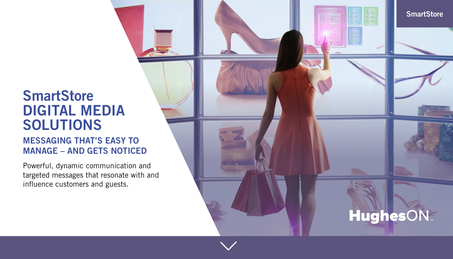# **SmartStore DIGITAL MEDIA SOLUTIONS**

# **MESSAGING THAT'S EASY TO MANAGE – AND GETS NOTICED**

Powerful, dynamic communication and targeted messages that resonate with and influence customers and guests.

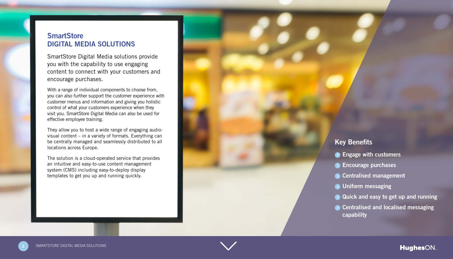## **SmartStore DIGITAL MEDIA SOLUTIONS**

SmartStore Digital Media solutions provide you with the capability to use engaging content to connect with your customers and encourage purchases.

With a range of individual components to choose from, you can also further support the customer experience with customer menus and information and giving you holistic control of what your customers experience when they visit you. SmartStore Digital Media can also be used for effective employee training.

visual content – in a variety of formats. Everything can They allow you to host a wide range of engaging audiobe centrally managed and seamlessly distributed to all locations across Europe.

The solution is a cloud-operated service that provides an intuitive and easy-to-use content management system (CMS) including easy-to-deploy display templates to get you up and running quickly.

## **Key Benefits**

- **C** Engage with customers
- **Encourage purchases**
- **n** Centralised management
- **D** Uniform messaging
- **Quick and easy to get up and running**
- **Centralised and localised messaging capability**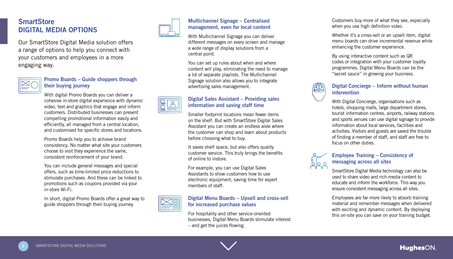## **SmartStore DIGITAL MEDIA OPTIONS**

Our SmartStore Digital Media solution offers a range of options to help you connect with your customers and employees in a more engaging way.



#### **Promo Boards – Guide shoppers through** their buying journey

With digital Promo Boards you can deliver a cohesive in-store digital experience with dynamic video, text and graphics that engage and inform customers. Distributed businesses can present compelling promotional information easily and efficiently, all managed from a central location. and customised for specific stores and locations.

Promo Boards help you to achieve brand consistency. No matter what site your customers choose to visit they experience the same, consistent reinforcement of your brand.

You can include general messages and special offers, such as time-limited price reductions to stimulate purchases. And these can be linked to promotions such as coupons provided via your in-store Wi-Fi

In short, digital Promo Boards offer a great way to guide shoppers through their buying journey.



## **Multichannel Signage – Centralised** management, even for local content

With Multichannel Signage you can deliver different messages on every screen and manage a wide range of display solutions from a central point.

You can set up rules about when and where content will play, eliminating the need to manage a lot of separate playlists. The Multichannel Signage solution also allows you to integrate advertising sales management.

## **Digital Sales Assistant - Providing sales information and saving staff time**

Smaller footprint locations mean fewer items on the shelf. But with SmartStore Digital Sales Assistant you can create an endless aisle where the customer can shop and learn about products before choosing what to buy.

It saves shelf space, but also offers quality customer service. This truly brings the benefits of online to instore.

For example, you can use Digital Sales Assistants to show customers how to use electronic equipment, saving time for expert members of staff



#### **Digital Menu Boards – Upsell and cross-sell for increased purchase values**

For hospitality and other service-oriented businesses. Digital Menu Boards stimulate interest  $-$  and get the juices flowing.

Customers buy more of what they see, especially when you use high definition video.

Whether it's a cross-sell or an upsell item, digital menu boards can drive incremental revenue while enhancing the customer experience.

By using interactive content such as QR codes or integration with your customer loyalty programmes. Digital Menu Boards can be the "secret sauce" in growing your business.



#### **Digital Concierge – Inform without human intervention**

With Digital Concierge, organisations such as hotels, shopping malls, large department stores. tourist information centres, airports, railway stations and sports venues can use digital signage to provide information about local services, facilities and activities. Visitors and guests are saved the trouble of finding a member of staff, and staff are free to focus on other duties



#### **Employee Training – Consistency of** messaging across all sites

SmartStore Digital Media technology can also be used to share video and rich-media content to educate and inform the workforce. This way you ensure consistent messaging across all sites.

Employees are far more likely to absorb training material and remember messages when delivered with exciting and dynamic content. By deploying this on-site you can save on your training budget.

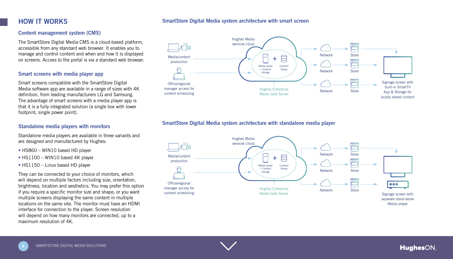#### **Smart Store Digital Media system architecture with smart screen**

## **HOW IT WORKS**

#### **Content management system (CMS)**

The SmartStore Digital Media CMS is a cloud-based platform, accessible from any standard web browser. It enables you to manage and control content and when and how it is displayed on screens. Access to the portal is via a standard web browser.

#### **Smart screens with media player app**

Smart screens compatible with the SmartStore Digital Media software app are available in a range of sizes with 4K definition, from leading manufacturers LG and Samsung. The advantage of smart screens with a media player app is that it is a fully integrated solution (a single box with lower footprint, single power point).

#### **Standalone media players with monitors**

Standalone media players are available in three variants and are designed and manufactured by Hughes:

- $\bullet$  HS860 WIN10 based HD player
- $\bullet$  HS1100 WIN10 based 4K player
- $\bullet$  HS1150 Linux based HD player

They can be connected to your choice of monitors, which will depend on multiple factors including size, orientation, brightness, location and aesthetics. You may prefer this option if you require a specific monitor size and shape, or you want multiple screens displaying the same content in multiple locations on the same site. The monitor must have an HDMI interface for connection to the player. Screen resolution will depend on how many monitors are connected, up to a  $maximum$  resolution of  $AK$ 



#### **SmartStore Digital Media system architecture with standalone media player**



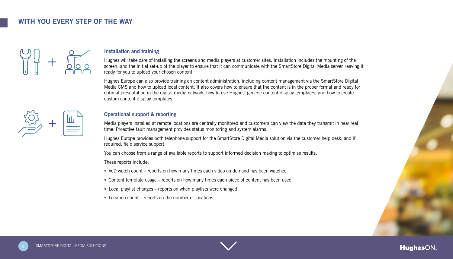## **WITH YOU FVERY STEP OF THE WAY**



#### **the Installation and training**

Hughes will take care of installing the screens and media players at customer sites. Installation includes the mounting of the screen, and the initial set-up of the player to ensure that it can communicate with the SmartStore Digital Media server, leaving it ready for you to upload your chosen content.

Hughes Europe can also provide training on content administration, including content management via the SmartStore Digital Media CMS and how to upload local content. It also covers how to ensure that the content is in the proper format and ready for optimal presentation in the digital media network, how to use Hughes' generic content display templates, and how to create custom content display templates.



#### **Operational support & reporting**

Media players installed at remote locations are centrally monitored and customers can view the data they transmit in near real time. Proactive fault management provides status monitoring and system alarms.

Hughes Europe provides both telephone support for the SmartStore Digital Media solution via the customer help desk, and if required, field service support.

You can choose from a range of available reports to support informed decision making to optimise results.

These reports include:

- VoD watch count reports on how many times each video on demand has been watched
- Content template usage reports on how many times each piece of content has been used
- Local playlist changes reports on when playlists were changed
- $\bullet$  Location count reports on the number of locations